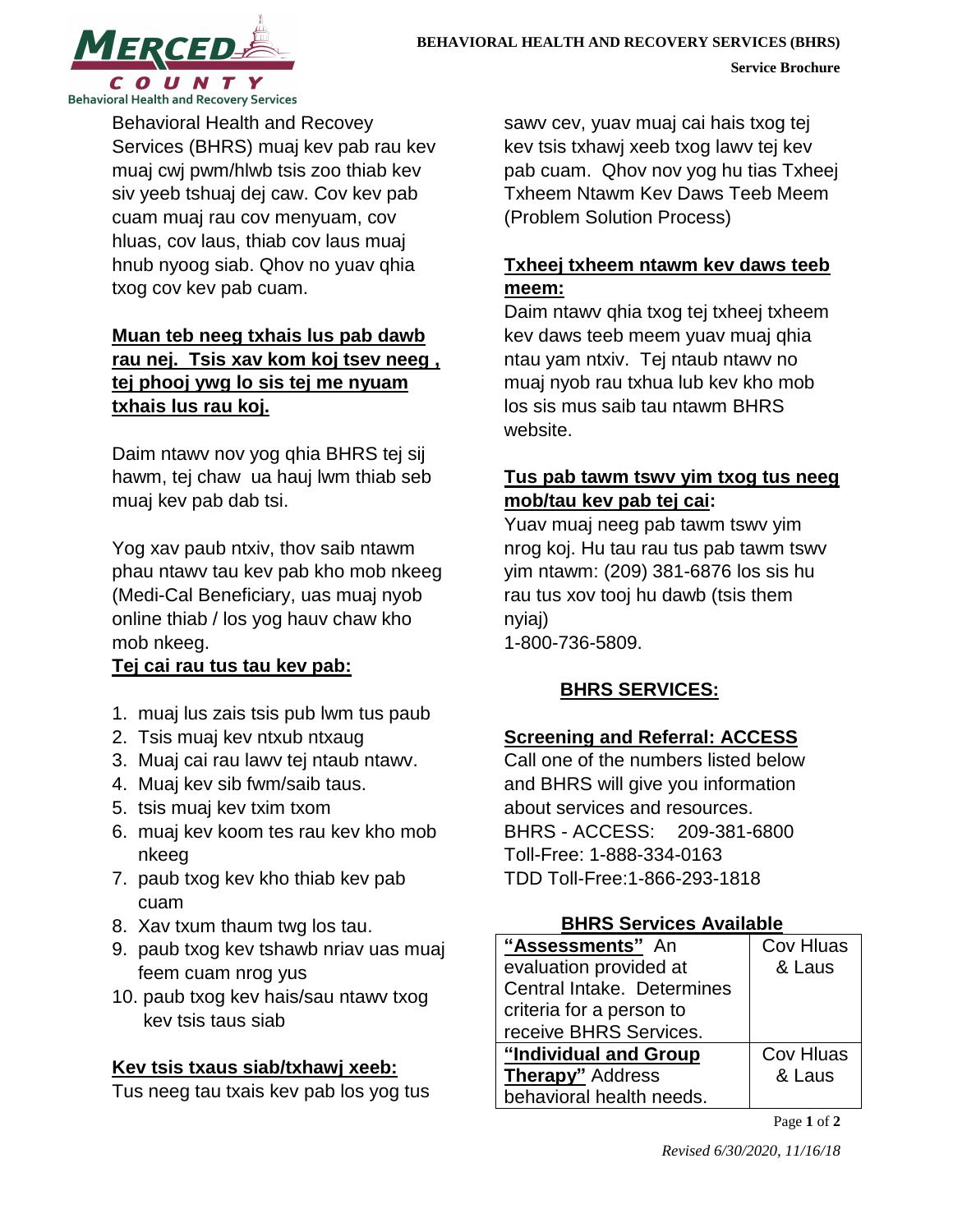

**Service Brochure**

Behavioral Health and Recovey Services (BHRS) muaj kev pab rau kev muaj cwj pwm/hlwb tsis zoo thiab kev siv yeeb tshuaj dej caw. Cov kev pab cuam muaj rau cov menyuam, cov hluas, cov laus, thiab cov laus muaj hnub nyoog siab. Qhov no yuav qhia txog cov kev pab cuam.

# **Muan teb neeg txhais lus pab dawb rau nej. Tsis xav kom koj tsev neeg , tej phooj ywg lo sis tej me nyuam txhais lus rau koj.**

Daim ntawv nov yog qhia BHRS tej sij hawm, tej chaw ua hauj lwm thiab seb muaj kev pab dab tsi.

Yog xav paub ntxiv, thov saib ntawm phau ntawv tau kev pab kho mob nkeeg (Medi-Cal Beneficiary, uas muaj nyob online thiab / los yog hauv chaw kho mob nkeeg.

### **Tej cai rau tus tau kev pab:**

- 1. muaj lus zais tsis pub lwm tus paub
- 2. Tsis muaj kev ntxub ntxaug
- 3. Muaj cai rau lawv tej ntaub ntawv.
- 4. Muaj kev sib fwm/saib taus.
- 5. tsis muaj kev txim txom
- 6. muaj kev koom tes rau kev kho mob nkeeg
- 7. paub txog kev kho thiab kev pab cuam
- 8. Xav txum thaum twg los tau.
- 9. paub txog kev tshawb nriav uas muaj feem cuam nrog yus
- 10. paub txog kev hais/sau ntawv txog kev tsis taus siab

#### **Kev tsis txaus siab/txhawj xeeb:**

Tus neeg tau txais kev pab los yog tus

sawv cev, yuav muaj cai hais txog tej kev tsis txhawj xeeb txog lawv tej kev pab cuam. Qhov nov yog hu tias Txheej Txheem Ntawm Kev Daws Teeb Meem (Problem Solution Process)

### **Txheej txheem ntawm kev daws teeb meem:**

Daim ntawv qhia txog tej txheej txheem kev daws teeb meem yuav muaj qhia ntau yam ntxiv. Tej ntaub ntawv no muaj nyob rau txhua lub kev kho mob los sis mus saib tau ntawm BHRS website.

### **Tus pab tawm tswv yim txog tus neeg mob/tau kev pab tej cai:**

Yuav muaj neeg pab tawm tswv yim nrog koj. Hu tau rau tus pab tawm tswv yim ntawm: (209) 381-6876 los sis hu rau tus xov tooj hu dawb (tsis them nyiaj)

1-800-736-5809.

### **BHRS SERVICES:**

### **Screening and Referral: ACCESS**

Call one of the numbers listed below and BHRS will give you information about services and resources. BHRS - ACCESS: 209-381-6800 Toll-Free: 1-888-334-0163 TDD Toll-Free:1-866-293-1818

#### **BHRS Services Available**

| "Assessments" An           | Cov Hluas |
|----------------------------|-----------|
| evaluation provided at     | & Laus    |
| Central Intake. Determines |           |
| criteria for a person to   |           |
| receive BHRS Services.     |           |
| "Individual and Group      | Cov Hluas |
| <b>Therapy"</b> Address    | & Laus    |
| behavioral health needs.   |           |

Page **1** of **2**